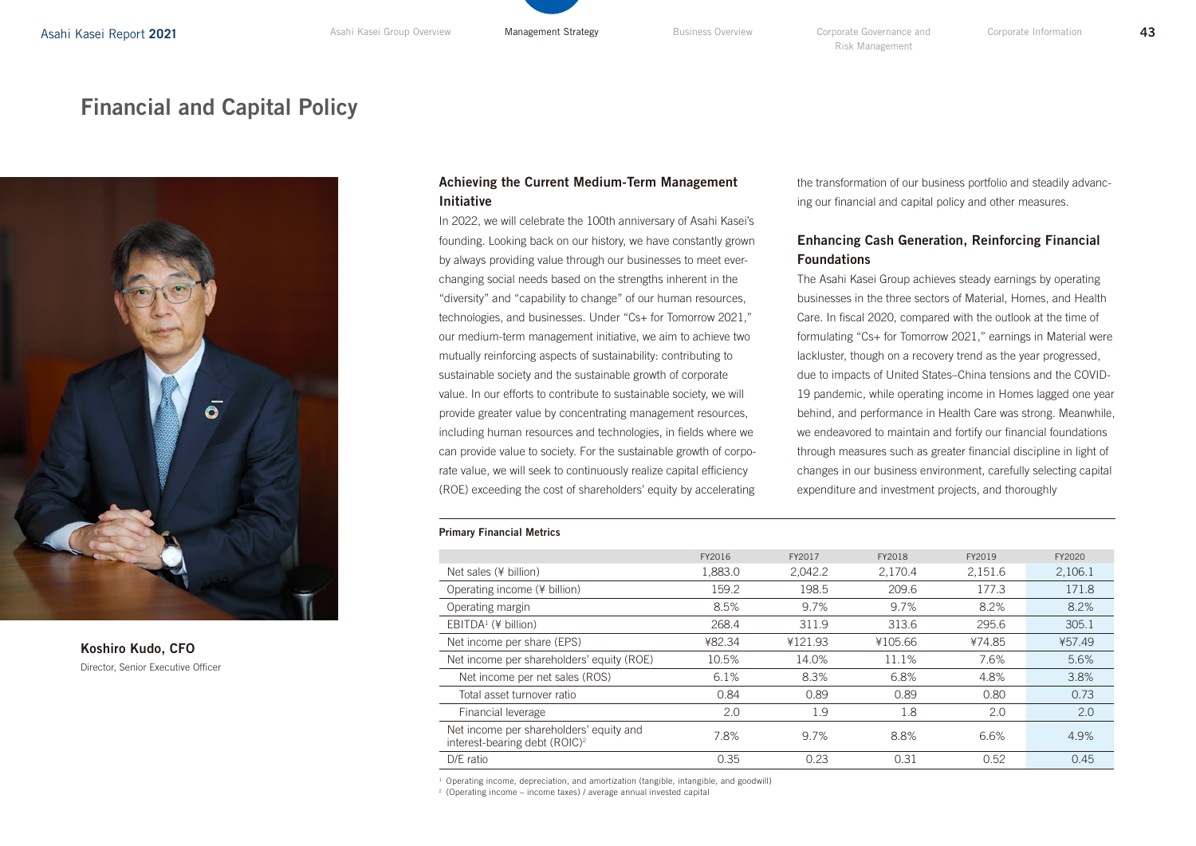# Financial and Capital Policy



## Koshiro Kudo, CFO Director, Senior Executive Officer

## Achieving the Current Medium-Term Management Initiative

In 2022, we will celebrate the 100th anniversary of Asahi Kasei's founding. Looking back on our history, we have constantly grown by always providing value through our businesses to meet everchanging social needs based on the strengths inherent in the "diversity" and "capability to change" of our human resources, technologies, and businesses. Under "Cs+ for Tomorrow 2021," our medium-term management initiative, we aim to achieve two mutually reinforcing aspects of sustainability: contributing to sustainable society and the sustainable growth of corporate value. In our efforts to contribute to sustainable society, we will provide greater value by concentrating management resources, including human resources and technologies, in fields where we can provide value to society. For the sustainable growth of corporate value, we will seek to continuously realize capital efficiency (ROE) exceeding the cost of shareholders' equity by accelerating

#### Primary Financial Metrics

|                                                                                      | FY2016  | FY2017  | FY2018  | FY2019  | FY2020  |
|--------------------------------------------------------------------------------------|---------|---------|---------|---------|---------|
| Net sales (¥ billion)                                                                | 1,883.0 | 2,042.2 | 2,170.4 | 2,151.6 | 2,106.1 |
| Operating income (¥ billion)                                                         | 159.2   | 198.5   | 209.6   | 177.3   | 171.8   |
| Operating margin                                                                     | 8.5%    | 9.7%    | 9.7%    | 8.2%    | 8.2%    |
| $EBITDA1$ (¥ billion)                                                                | 268.4   | 311.9   | 313.6   | 295.6   | 305.1   |
| Net income per share (EPS)                                                           | ¥82.34  | ¥121.93 | ¥105.66 | ¥74.85  | ¥57.49  |
| Net income per shareholders' equity (ROE)                                            | 10.5%   | 14.0%   | 11.1%   | 7.6%    | 5.6%    |
| Net income per net sales (ROS)                                                       | 6.1%    | 8.3%    | 6.8%    | 4.8%    | 3.8%    |
| Total asset turnover ratio                                                           | 0.84    | 0.89    | 0.89    | 0.80    | 0.73    |
| Financial leverage                                                                   | 2.0     | 1.9     | 1.8     | 2.0     | 2.0     |
| Net income per shareholders' equity and<br>interest-bearing debt (ROIC) <sup>2</sup> | 7.8%    | 9.7%    | 8.8%    | 6.6%    | 4.9%    |
| $D/E$ ratio                                                                          | 0.35    | 0.23    | 0.31    | 0.52    | 0.45    |

<sup>1</sup> Operating income, depreciation, and amortization (tangible, intangible, and goodwill)

 $2$  (Operating income – income taxes) / average annual invested capital

the transformation of our business portfolio and steadily advancing our financial and capital policy and other measures.

# Enhancing Cash Generation, Reinforcing Financial Foundations

The Asahi Kasei Group achieves steady earnings by operating businesses in the three sectors of Material, Homes, and Health Care. In fiscal 2020, compared with the outlook at the time of formulating "Cs+ for Tomorrow 2021," earnings in Material were lackluster, though on a recovery trend as the year progressed, due to impacts of United States–China tensions and the COVID-19 pandemic, while operating income in Homes lagged one year behind, and performance in Health Care was strong. Meanwhile, we endeavored to maintain and fortify our financial foundations through measures such as greater financial discipline in light of changes in our business environment, carefully selecting capital expenditure and investment projects, and thoroughly